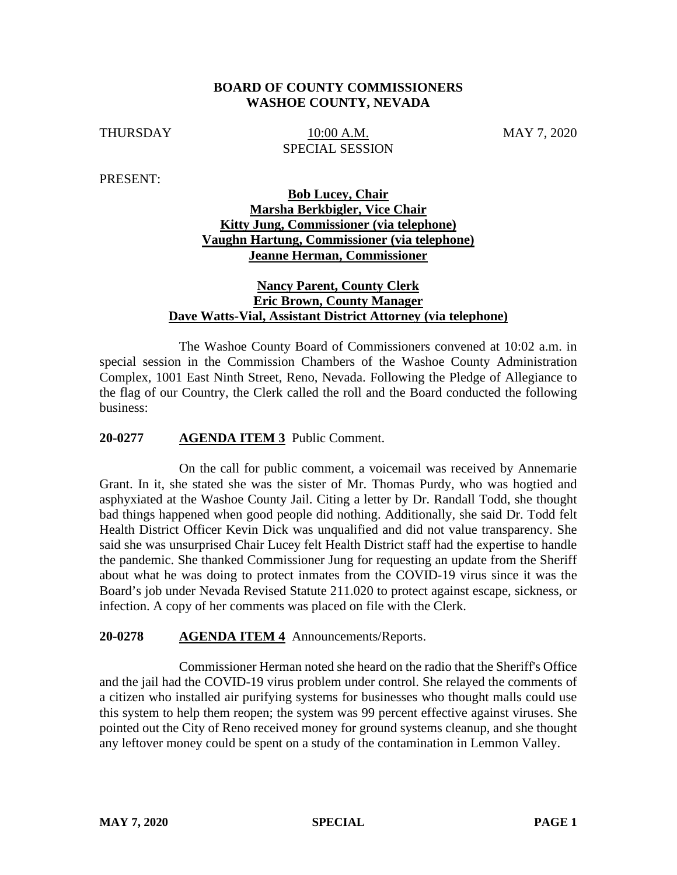### **BOARD OF COUNTY COMMISSIONERS WASHOE COUNTY, NEVADA**

THURSDAY 10:00 A.M. MAY 7, 2020 SPECIAL SESSION

PRESENT:

# **Bob Lucey, Chair Marsha Berkbigler, Vice Chair Kitty Jung, Commissioner (via telephone) Vaughn Hartung, Commissioner (via telephone) Jeanne Herman, Commissioner**

## **Nancy Parent, County Clerk Eric Brown, County Manager Dave Watts-Vial, Assistant District Attorney (via telephone)**

The Washoe County Board of Commissioners convened at 10:02 a.m. in special session in the Commission Chambers of the Washoe County Administration Complex, 1001 East Ninth Street, Reno, Nevada. Following the Pledge of Allegiance to the flag of our Country, the Clerk called the roll and the Board conducted the following business:

### **20-0277 AGENDA ITEM 3** Public Comment.

On the call for public comment, a voicemail was received by Annemarie Grant. In it, she stated she was the sister of Mr. Thomas Purdy, who was hogtied and asphyxiated at the Washoe County Jail. Citing a letter by Dr. Randall Todd, she thought bad things happened when good people did nothing. Additionally, she said Dr. Todd felt Health District Officer Kevin Dick was unqualified and did not value transparency. She said she was unsurprised Chair Lucey felt Health District staff had the expertise to handle the pandemic. She thanked Commissioner Jung for requesting an update from the Sheriff about what he was doing to protect inmates from the COVID-19 virus since it was the Board's job under Nevada Revised Statute 211.020 to protect against escape, sickness, or infection. A copy of her comments was placed on file with the Clerk.

#### **20-0278 AGENDA ITEM 4** Announcements/Reports.

Commissioner Herman noted she heard on the radio that the Sheriff's Office and the jail had the COVID-19 virus problem under control. She relayed the comments of a citizen who installed air purifying systems for businesses who thought malls could use this system to help them reopen; the system was 99 percent effective against viruses. She pointed out the City of Reno received money for ground systems cleanup, and she thought any leftover money could be spent on a study of the contamination in Lemmon Valley.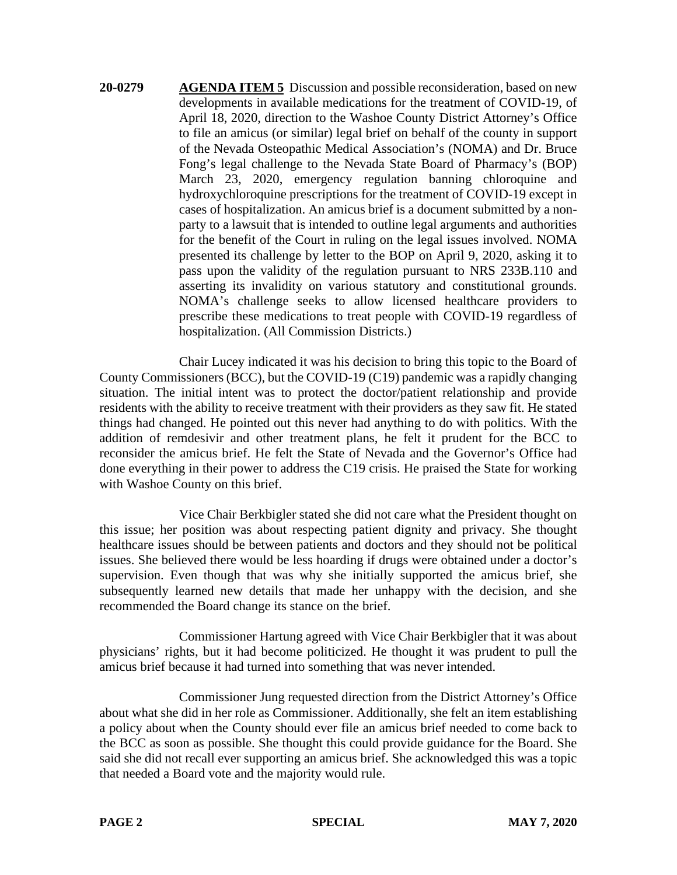**20-0279 AGENDA ITEM 5** Discussion and possible reconsideration, based on new developments in available medications for the treatment of COVID-19, of April 18, 2020, direction to the Washoe County District Attorney's Office to file an amicus (or similar) legal brief on behalf of the county in support of the Nevada Osteopathic Medical Association's (NOMA) and Dr. Bruce Fong's legal challenge to the Nevada State Board of Pharmacy's (BOP) March 23, 2020, emergency regulation banning chloroquine and hydroxychloroquine prescriptions for the treatment of COVID-19 except in cases of hospitalization. An amicus brief is a document submitted by a nonparty to a lawsuit that is intended to outline legal arguments and authorities for the benefit of the Court in ruling on the legal issues involved. NOMA presented its challenge by letter to the BOP on April 9, 2020, asking it to pass upon the validity of the regulation pursuant to NRS 233B.110 and asserting its invalidity on various statutory and constitutional grounds. NOMA's challenge seeks to allow licensed healthcare providers to prescribe these medications to treat people with COVID-19 regardless of hospitalization. (All Commission Districts.)

Chair Lucey indicated it was his decision to bring this topic to the Board of County Commissioners (BCC), but the COVID-19 (C19) pandemic was a rapidly changing situation. The initial intent was to protect the doctor/patient relationship and provide residents with the ability to receive treatment with their providers as they saw fit. He stated things had changed. He pointed out this never had anything to do with politics. With the addition of remdesivir and other treatment plans, he felt it prudent for the BCC to reconsider the amicus brief. He felt the State of Nevada and the Governor's Office had done everything in their power to address the C19 crisis. He praised the State for working with Washoe County on this brief.

Vice Chair Berkbigler stated she did not care what the President thought on this issue; her position was about respecting patient dignity and privacy. She thought healthcare issues should be between patients and doctors and they should not be political issues. She believed there would be less hoarding if drugs were obtained under a doctor's supervision. Even though that was why she initially supported the amicus brief, she subsequently learned new details that made her unhappy with the decision, and she recommended the Board change its stance on the brief.

Commissioner Hartung agreed with Vice Chair Berkbigler that it was about physicians' rights, but it had become politicized. He thought it was prudent to pull the amicus brief because it had turned into something that was never intended.

Commissioner Jung requested direction from the District Attorney's Office about what she did in her role as Commissioner. Additionally, she felt an item establishing a policy about when the County should ever file an amicus brief needed to come back to the BCC as soon as possible. She thought this could provide guidance for the Board. She said she did not recall ever supporting an amicus brief. She acknowledged this was a topic that needed a Board vote and the majority would rule.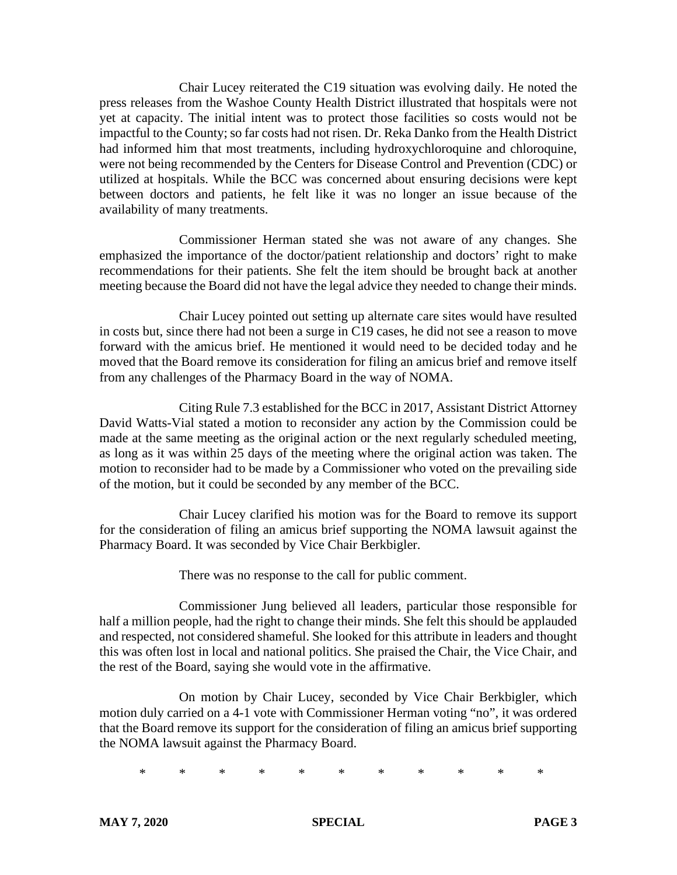Chair Lucey reiterated the C19 situation was evolving daily. He noted the press releases from the Washoe County Health District illustrated that hospitals were not yet at capacity. The initial intent was to protect those facilities so costs would not be impactful to the County; so far costs had not risen. Dr. Reka Danko from the Health District had informed him that most treatments, including hydroxychloroquine and chloroquine, were not being recommended by the Centers for Disease Control and Prevention (CDC) or utilized at hospitals. While the BCC was concerned about ensuring decisions were kept between doctors and patients, he felt like it was no longer an issue because of the availability of many treatments.

Commissioner Herman stated she was not aware of any changes. She emphasized the importance of the doctor/patient relationship and doctors' right to make recommendations for their patients. She felt the item should be brought back at another meeting because the Board did not have the legal advice they needed to change their minds.

Chair Lucey pointed out setting up alternate care sites would have resulted in costs but, since there had not been a surge in C19 cases, he did not see a reason to move forward with the amicus brief. He mentioned it would need to be decided today and he moved that the Board remove its consideration for filing an amicus brief and remove itself from any challenges of the Pharmacy Board in the way of NOMA.

Citing Rule 7.3 established for the BCC in 2017, Assistant District Attorney David Watts-Vial stated a motion to reconsider any action by the Commission could be made at the same meeting as the original action or the next regularly scheduled meeting, as long as it was within 25 days of the meeting where the original action was taken. The motion to reconsider had to be made by a Commissioner who voted on the prevailing side of the motion, but it could be seconded by any member of the BCC.

Chair Lucey clarified his motion was for the Board to remove its support for the consideration of filing an amicus brief supporting the NOMA lawsuit against the Pharmacy Board. It was seconded by Vice Chair Berkbigler.

There was no response to the call for public comment.

Commissioner Jung believed all leaders, particular those responsible for half a million people, had the right to change their minds. She felt this should be applauded and respected, not considered shameful. She looked for this attribute in leaders and thought this was often lost in local and national politics. She praised the Chair, the Vice Chair, and the rest of the Board, saying she would vote in the affirmative.

On motion by Chair Lucey, seconded by Vice Chair Berkbigler, which motion duly carried on a 4-1 vote with Commissioner Herman voting "no", it was ordered that the Board remove its support for the consideration of filing an amicus brief supporting the NOMA lawsuit against the Pharmacy Board.

\* \* \* \* \* \* \* \* \* \* \*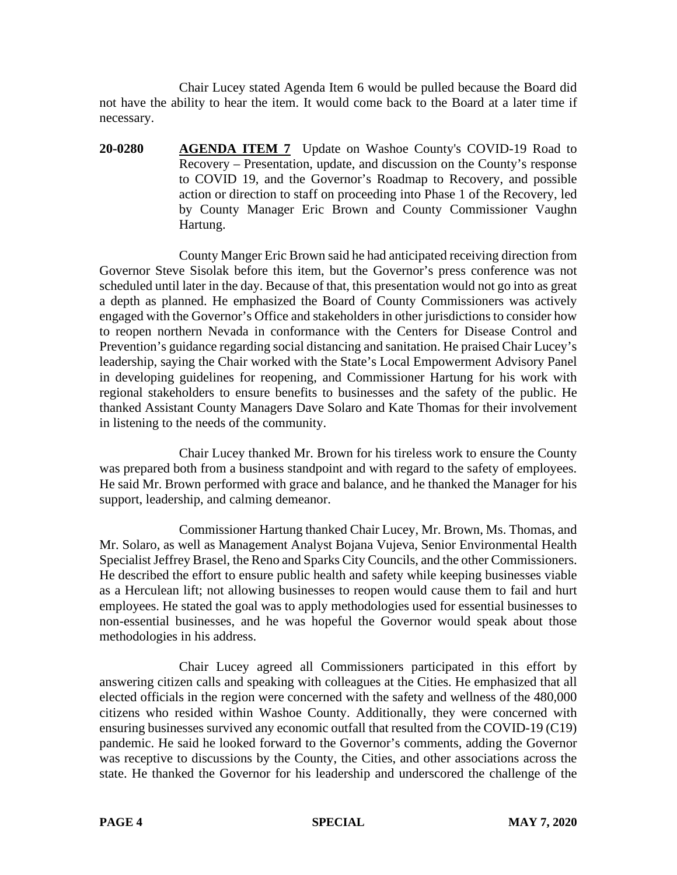Chair Lucey stated Agenda Item 6 would be pulled because the Board did not have the ability to hear the item. It would come back to the Board at a later time if necessary.

**20-0280 AGENDA ITEM 7** Update on Washoe County's COVID-19 Road to Recovery – Presentation, update, and discussion on the County's response to COVID 19, and the Governor's Roadmap to Recovery, and possible action or direction to staff on proceeding into Phase 1 of the Recovery, led by County Manager Eric Brown and County Commissioner Vaughn Hartung.

County Manger Eric Brown said he had anticipated receiving direction from Governor Steve Sisolak before this item, but the Governor's press conference was not scheduled until later in the day. Because of that, this presentation would not go into as great a depth as planned. He emphasized the Board of County Commissioners was actively engaged with the Governor's Office and stakeholders in other jurisdictions to consider how to reopen northern Nevada in conformance with the Centers for Disease Control and Prevention's guidance regarding social distancing and sanitation. He praised Chair Lucey's leadership, saying the Chair worked with the State's Local Empowerment Advisory Panel in developing guidelines for reopening, and Commissioner Hartung for his work with regional stakeholders to ensure benefits to businesses and the safety of the public. He thanked Assistant County Managers Dave Solaro and Kate Thomas for their involvement in listening to the needs of the community.

Chair Lucey thanked Mr. Brown for his tireless work to ensure the County was prepared both from a business standpoint and with regard to the safety of employees. He said Mr. Brown performed with grace and balance, and he thanked the Manager for his support, leadership, and calming demeanor.

Commissioner Hartung thanked Chair Lucey, Mr. Brown, Ms. Thomas, and Mr. Solaro, as well as Management Analyst Bojana Vujeva, Senior Environmental Health Specialist Jeffrey Brasel, the Reno and Sparks City Councils, and the other Commissioners. He described the effort to ensure public health and safety while keeping businesses viable as a Herculean lift; not allowing businesses to reopen would cause them to fail and hurt employees. He stated the goal was to apply methodologies used for essential businesses to non-essential businesses, and he was hopeful the Governor would speak about those methodologies in his address.

Chair Lucey agreed all Commissioners participated in this effort by answering citizen calls and speaking with colleagues at the Cities. He emphasized that all elected officials in the region were concerned with the safety and wellness of the 480,000 citizens who resided within Washoe County. Additionally, they were concerned with ensuring businesses survived any economic outfall that resulted from the COVID-19 (C19) pandemic. He said he looked forward to the Governor's comments, adding the Governor was receptive to discussions by the County, the Cities, and other associations across the state. He thanked the Governor for his leadership and underscored the challenge of the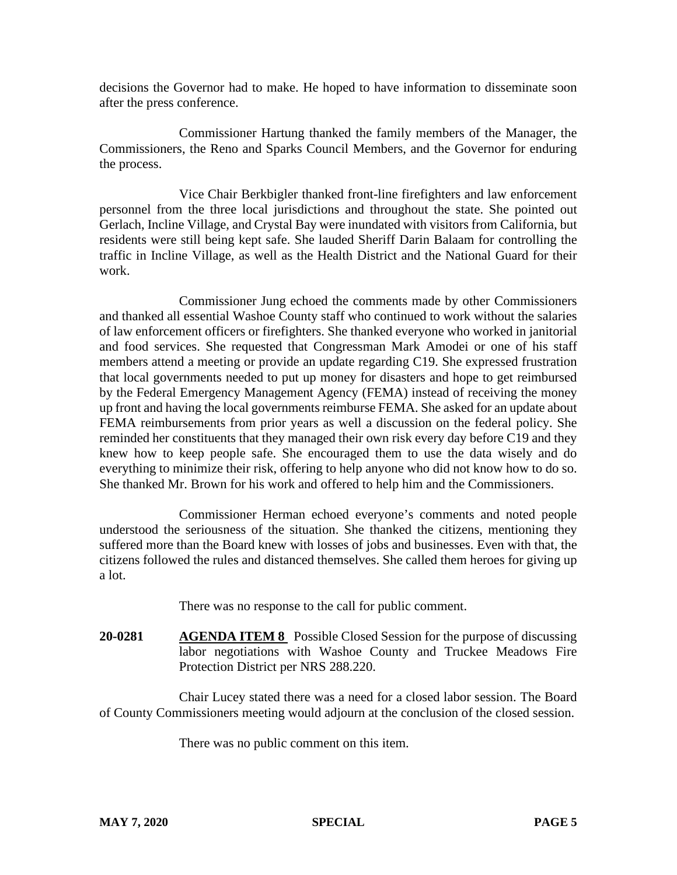decisions the Governor had to make. He hoped to have information to disseminate soon after the press conference.

Commissioner Hartung thanked the family members of the Manager, the Commissioners, the Reno and Sparks Council Members, and the Governor for enduring the process.

Vice Chair Berkbigler thanked front-line firefighters and law enforcement personnel from the three local jurisdictions and throughout the state. She pointed out Gerlach, Incline Village, and Crystal Bay were inundated with visitors from California, but residents were still being kept safe. She lauded Sheriff Darin Balaam for controlling the traffic in Incline Village, as well as the Health District and the National Guard for their work.

Commissioner Jung echoed the comments made by other Commissioners and thanked all essential Washoe County staff who continued to work without the salaries of law enforcement officers or firefighters. She thanked everyone who worked in janitorial and food services. She requested that Congressman Mark Amodei or one of his staff members attend a meeting or provide an update regarding C19. She expressed frustration that local governments needed to put up money for disasters and hope to get reimbursed by the Federal Emergency Management Agency (FEMA) instead of receiving the money up front and having the local governments reimburse FEMA. She asked for an update about FEMA reimbursements from prior years as well a discussion on the federal policy. She reminded her constituents that they managed their own risk every day before C19 and they knew how to keep people safe. She encouraged them to use the data wisely and do everything to minimize their risk, offering to help anyone who did not know how to do so. She thanked Mr. Brown for his work and offered to help him and the Commissioners.

Commissioner Herman echoed everyone's comments and noted people understood the seriousness of the situation. She thanked the citizens, mentioning they suffered more than the Board knew with losses of jobs and businesses. Even with that, the citizens followed the rules and distanced themselves. She called them heroes for giving up a lot.

There was no response to the call for public comment.

**20-0281 AGENDA ITEM 8** Possible Closed Session for the purpose of discussing labor negotiations with Washoe County and Truckee Meadows Fire Protection District per NRS 288.220.

Chair Lucey stated there was a need for a closed labor session. The Board of County Commissioners meeting would adjourn at the conclusion of the closed session.

There was no public comment on this item.